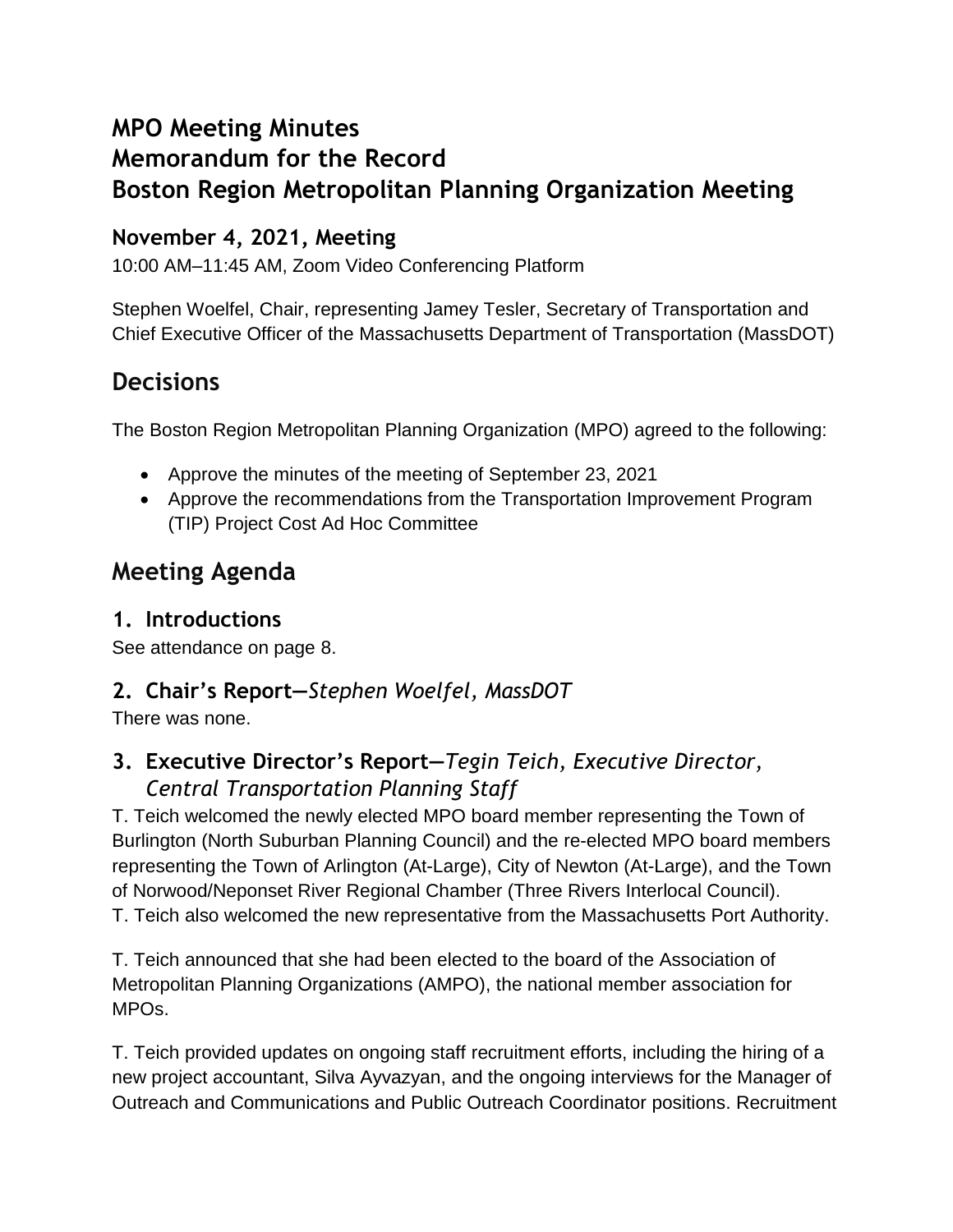# **MPO Meeting Minutes Memorandum for the Record Boston Region Metropolitan Planning Organization Meeting**

# **November 4, 2021, Meeting**

10:00 AM–11:45 AM, Zoom Video Conferencing Platform

Stephen Woelfel, Chair, representing Jamey Tesler, Secretary of Transportation and Chief Executive Officer of the Massachusetts Department of Transportation (MassDOT)

# **Decisions**

The Boston Region Metropolitan Planning Organization (MPO) agreed to the following:

- Approve the minutes of the meeting of September 23, 2021
- Approve the recommendations from the Transportation Improvement Program (TIP) Project Cost Ad Hoc Committee

# **Meeting Agenda**

# **1. Introductions**

See attendance on page 8.

# **2. Chair's Report—***Stephen Woelfel, MassDOT*

There was none.

# **3. Executive Director's Report—***Tegin Teich, Executive Director, Central Transportation Planning Staff*

T. Teich welcomed the newly elected MPO board member representing the Town of Burlington (North Suburban Planning Council) and the re-elected MPO board members representing the Town of Arlington (At-Large), City of Newton (At-Large), and the Town of Norwood/Neponset River Regional Chamber (Three Rivers Interlocal Council). T. Teich also welcomed the new representative from the Massachusetts Port Authority.

T. Teich announced that she had been elected to the board of the Association of Metropolitan Planning Organizations (AMPO), the national member association for MPOs.

T. Teich provided updates on ongoing staff recruitment efforts, including the hiring of a new project accountant, Silva Ayvazyan, and the ongoing interviews for the Manager of Outreach and Communications and Public Outreach Coordinator positions. Recruitment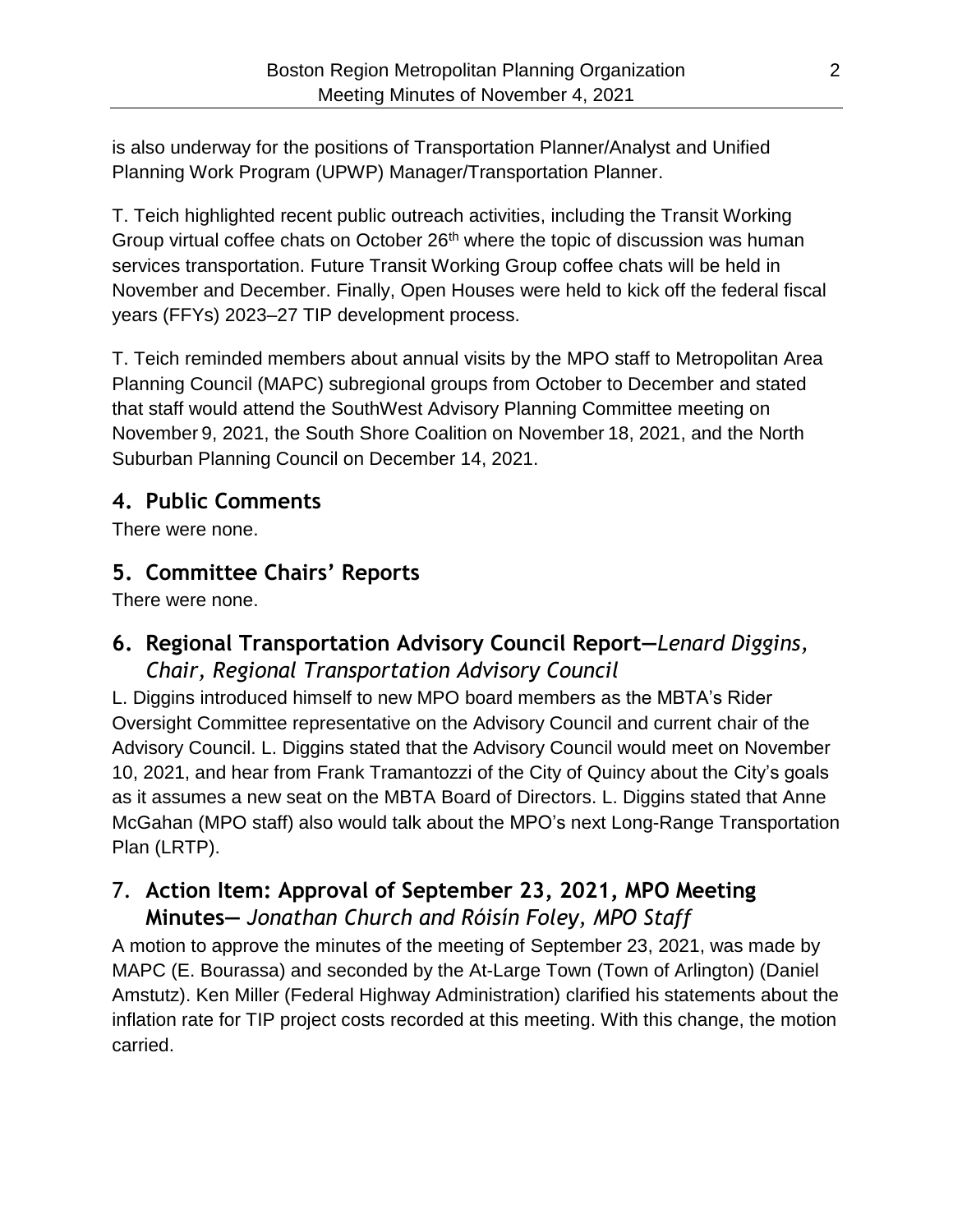is also underway for the positions of Transportation Planner/Analyst and Unified Planning Work Program (UPWP) Manager/Transportation Planner.

T. Teich highlighted recent public outreach activities, including the Transit Working Group virtual coffee chats on October 26<sup>th</sup> where the topic of discussion was human services transportation. Future Transit Working Group coffee chats will be held in November and December. Finally, Open Houses were held to kick off the federal fiscal years (FFYs) 2023–27 TIP development process.

T. Teich reminded members about annual visits by the MPO staff to Metropolitan Area Planning Council (MAPC) subregional groups from October to December and stated that staff would attend the SouthWest Advisory Planning Committee meeting on November 9, 2021, the South Shore Coalition on November 18, 2021, and the North Suburban Planning Council on December 14, 2021.

### **4. Public Comments**

There were none.

# **5. Committee Chairs' Reports**

There were none.

### **6. Regional Transportation Advisory Council Report—***Lenard Diggins, Chair, Regional Transportation Advisory Council*

L. Diggins introduced himself to new MPO board members as the MBTA's Rider Oversight Committee representative on the Advisory Council and current chair of the Advisory Council. L. Diggins stated that the Advisory Council would meet on November 10, 2021, and hear from Frank Tramantozzi of the City of Quincy about the City's goals as it assumes a new seat on the MBTA Board of Directors. L. Diggins stated that Anne McGahan (MPO staff) also would talk about the MPO's next Long-Range Transportation Plan (LRTP).

# 7. **Action Item: Approval of September 23, 2021, MPO Meeting Minutes—** *Jonathan Church and Róisín Foley, MPO Staff*

A motion to approve the minutes of the meeting of September 23, 2021, was made by MAPC (E. Bourassa) and seconded by the At-Large Town (Town of Arlington) (Daniel Amstutz). Ken Miller (Federal Highway Administration) clarified his statements about the inflation rate for TIP project costs recorded at this meeting. With this change, the motion carried.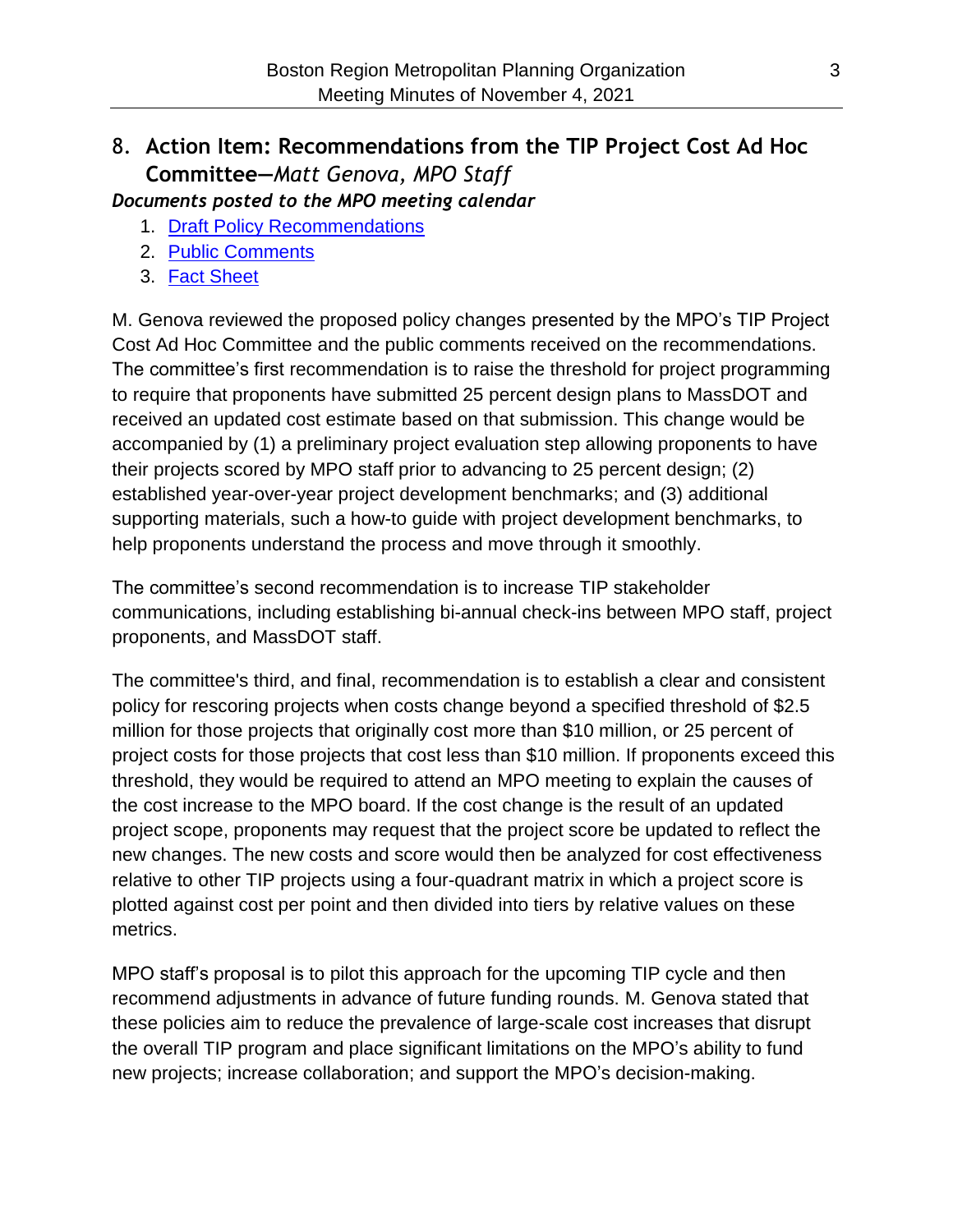# 8. **Action Item: Recommendations from the TIP Project Cost Ad Hoc Committee—***Matt Genova, MPO Staff*

*Documents posted to the MPO meeting calendar*

- 1. [Draft Policy Recommendations](https://www.ctps.org/data/calendar/pdfs/2021/MPO_0923_Draft_TIP_Committee_Policy_Recommendations.pdf)
- 2. [Public Comments](https://www.ctps.org/data/calendar/pdfs/2021/TIP_1021_TIP_Policy_Public_Comments.pdf)
- 3. [Fact Sheet](https://www.ctps.org/data/calendar/pdfs/2021/MPO_1104_TIP_Policy_Fact_Sheet.pdf)

M. Genova reviewed the proposed policy changes presented by the MPO's TIP Project Cost Ad Hoc Committee and the public comments received on the recommendations. The committee's first recommendation is to raise the threshold for project programming to require that proponents have submitted 25 percent design plans to MassDOT and received an updated cost estimate based on that submission. This change would be accompanied by (1) a preliminary project evaluation step allowing proponents to have their projects scored by MPO staff prior to advancing to 25 percent design; (2) established year-over-year project development benchmarks; and (3) additional supporting materials, such a how-to guide with project development benchmarks, to help proponents understand the process and move through it smoothly.

The committee's second recommendation is to increase TIP stakeholder communications, including establishing bi-annual check-ins between MPO staff, project proponents, and MassDOT staff.

The committee's third, and final, recommendation is to establish a clear and consistent policy for rescoring projects when costs change beyond a specified threshold of \$2.5 million for those projects that originally cost more than \$10 million, or 25 percent of project costs for those projects that cost less than \$10 million. If proponents exceed this threshold, they would be required to attend an MPO meeting to explain the causes of the cost increase to the MPO board. If the cost change is the result of an updated project scope, proponents may request that the project score be updated to reflect the new changes. The new costs and score would then be analyzed for cost effectiveness relative to other TIP projects using a four-quadrant matrix in which a project score is plotted against cost per point and then divided into tiers by relative values on these metrics.

MPO staff's proposal is to pilot this approach for the upcoming TIP cycle and then recommend adjustments in advance of future funding rounds. M. Genova stated that these policies aim to reduce the prevalence of large-scale cost increases that disrupt the overall TIP program and place significant limitations on the MPO's ability to fund new projects; increase collaboration; and support the MPO's decision-making.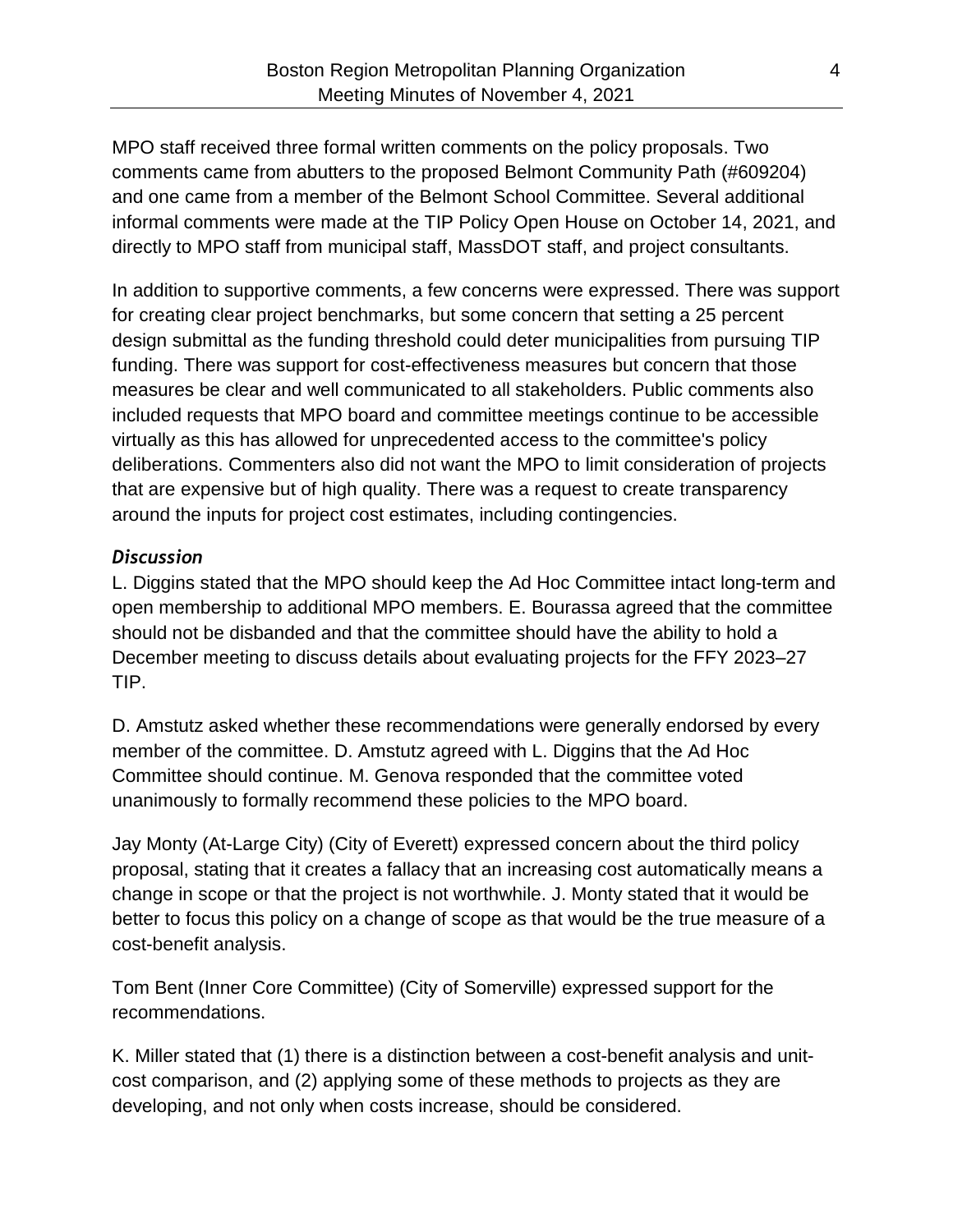MPO staff received three formal written comments on the policy proposals. Two comments came from abutters to the proposed Belmont Community Path (#609204) and one came from a member of the Belmont School Committee. Several additional informal comments were made at the TIP Policy Open House on October 14, 2021, and directly to MPO staff from municipal staff, MassDOT staff, and project consultants.

In addition to supportive comments, a few concerns were expressed. There was support for creating clear project benchmarks, but some concern that setting a 25 percent design submittal as the funding threshold could deter municipalities from pursuing TIP funding. There was support for cost-effectiveness measures but concern that those measures be clear and well communicated to all stakeholders. Public comments also included requests that MPO board and committee meetings continue to be accessible virtually as this has allowed for unprecedented access to the committee's policy deliberations. Commenters also did not want the MPO to limit consideration of projects that are expensive but of high quality. There was a request to create transparency around the inputs for project cost estimates, including contingencies.

#### *Discussion*

L. Diggins stated that the MPO should keep the Ad Hoc Committee intact long-term and open membership to additional MPO members. E. Bourassa agreed that the committee should not be disbanded and that the committee should have the ability to hold a December meeting to discuss details about evaluating projects for the FFY 2023–27 TIP.

D. Amstutz asked whether these recommendations were generally endorsed by every member of the committee. D. Amstutz agreed with L. Diggins that the Ad Hoc Committee should continue. M. Genova responded that the committee voted unanimously to formally recommend these policies to the MPO board.

Jay Monty (At-Large City) (City of Everett) expressed concern about the third policy proposal, stating that it creates a fallacy that an increasing cost automatically means a change in scope or that the project is not worthwhile. J. Monty stated that it would be better to focus this policy on a change of scope as that would be the true measure of a cost-benefit analysis.

Tom Bent (Inner Core Committee) (City of Somerville) expressed support for the recommendations.

K. Miller stated that (1) there is a distinction between a cost-benefit analysis and unitcost comparison, and (2) applying some of these methods to projects as they are developing, and not only when costs increase, should be considered.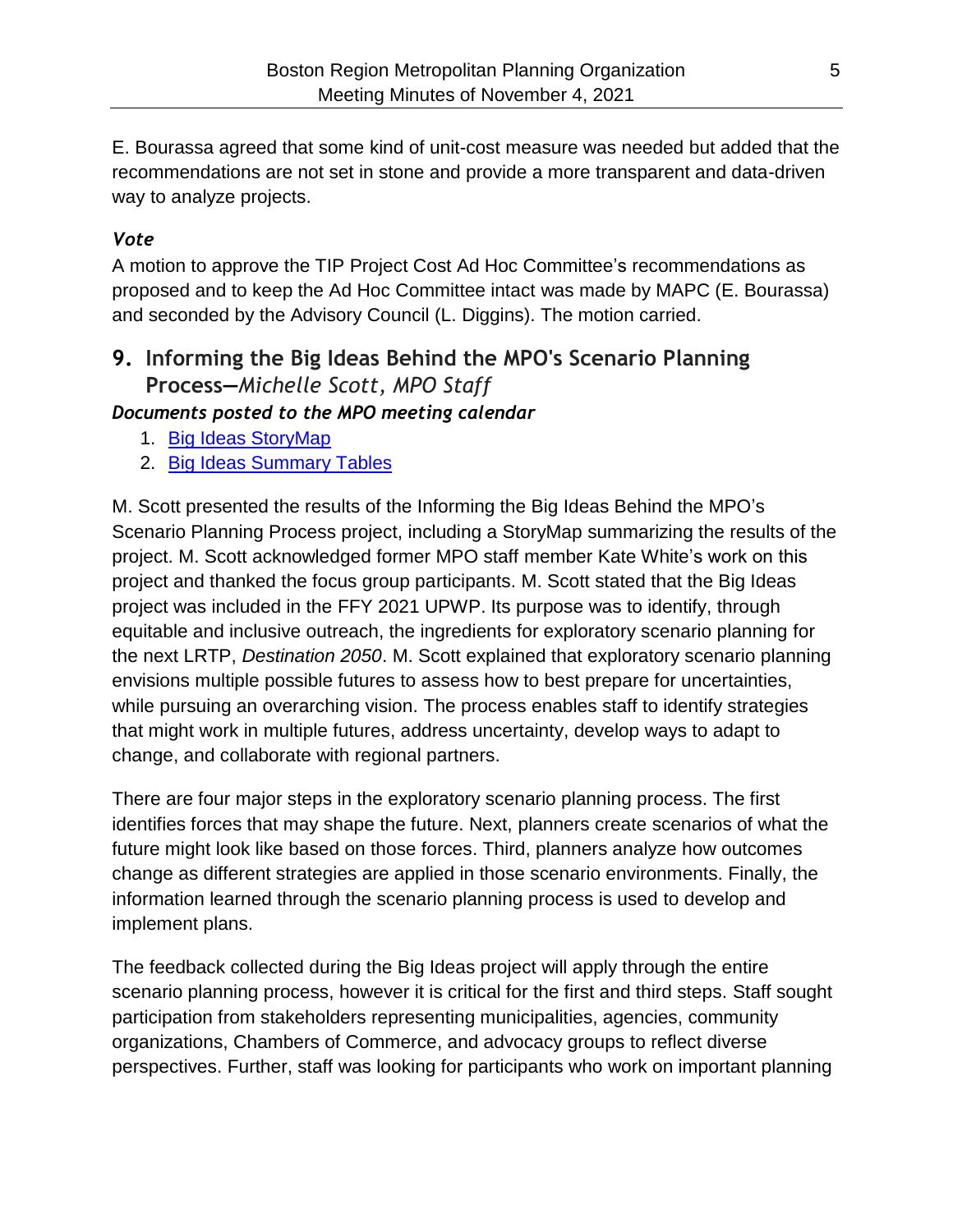E. Bourassa agreed that some kind of unit-cost measure was needed but added that the recommendations are not set in stone and provide a more transparent and data-driven way to analyze projects.

### *Vote*

A motion to approve the TIP Project Cost Ad Hoc Committee's recommendations as proposed and to keep the Ad Hoc Committee intact was made by MAPC (E. Bourassa) and seconded by the Advisory Council (L. Diggins). The motion carried.

# **9. Informing the Big Ideas Behind the MPO's Scenario Planning Process—***Michelle Scott, MPO Staff*

*Documents posted to the MPO meeting calendar*

- 1. [Big Ideas StoryMap](https://storymaps.arcgis.com/stories/c919d2e51ebb4e18bd800f48a9e8db52)
- 2. [Big Ideas Summary Tables](https://www.ctps.org/data/calendar/pdfs/2021/MPO_1104_Big_Ideas_Summary_Tables.pdf)

M. Scott presented the results of the Informing the Big Ideas Behind the MPO's Scenario Planning Process project, including a StoryMap summarizing the results of the project. M. Scott acknowledged former MPO staff member Kate White's work on this project and thanked the focus group participants. M. Scott stated that the Big Ideas project was included in the FFY 2021 UPWP. Its purpose was to identify, through equitable and inclusive outreach, the ingredients for exploratory scenario planning for the next LRTP, *Destination 2050*. M. Scott explained that exploratory scenario planning envisions multiple possible futures to assess how to best prepare for uncertainties, while pursuing an overarching vision. The process enables staff to identify strategies that might work in multiple futures, address uncertainty, develop ways to adapt to change, and collaborate with regional partners.

There are four major steps in the exploratory scenario planning process. The first identifies forces that may shape the future. Next, planners create scenarios of what the future might look like based on those forces. Third, planners analyze how outcomes change as different strategies are applied in those scenario environments. Finally, the information learned through the scenario planning process is used to develop and implement plans.

The feedback collected during the Big Ideas project will apply through the entire scenario planning process, however it is critical for the first and third steps. Staff sought participation from stakeholders representing municipalities, agencies, community organizations, Chambers of Commerce, and advocacy groups to reflect diverse perspectives. Further, staff was looking for participants who work on important planning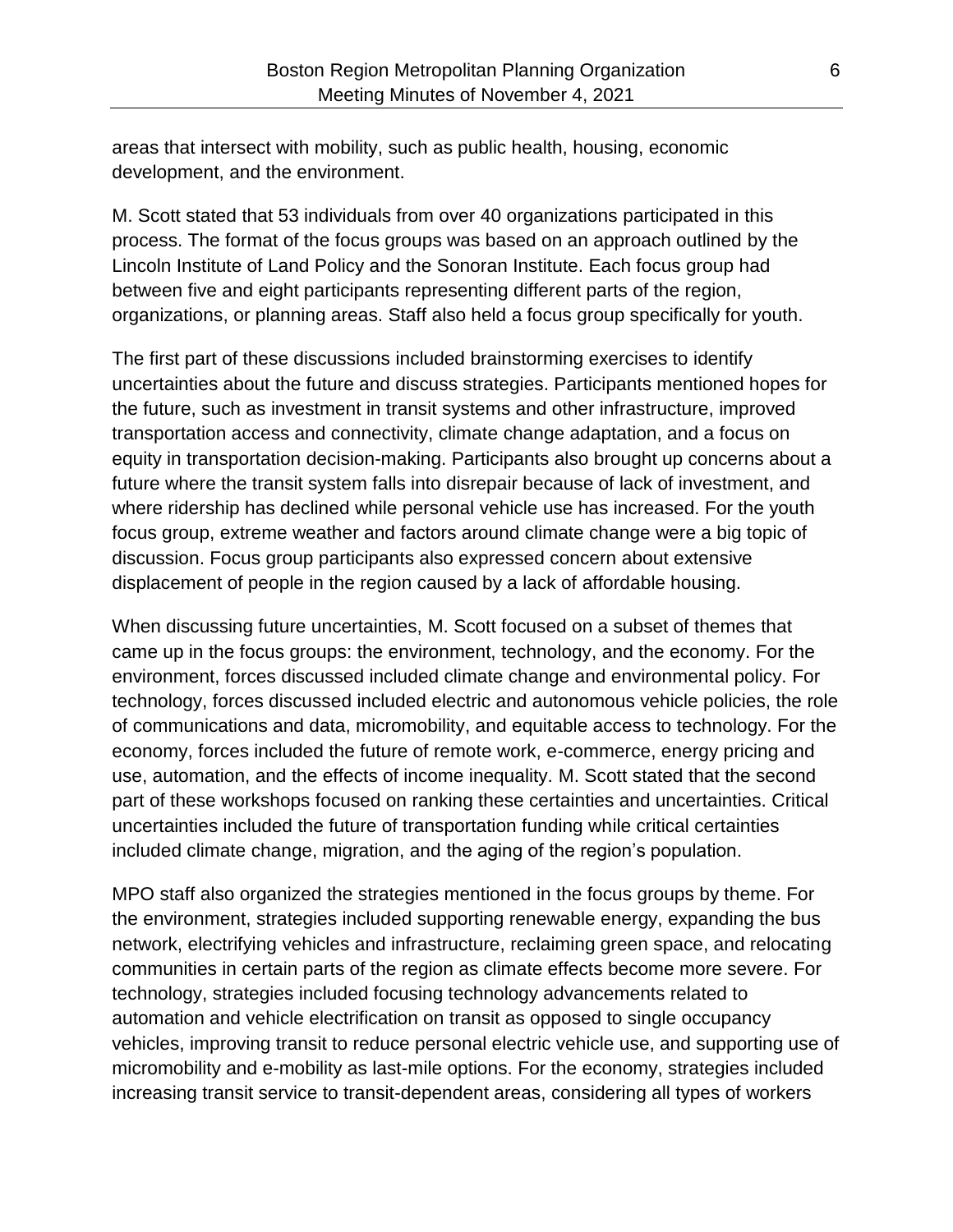areas that intersect with mobility, such as public health, housing, economic development, and the environment.

M. Scott stated that 53 individuals from over 40 organizations participated in this process. The format of the focus groups was based on an approach outlined by the Lincoln Institute of Land Policy and the Sonoran Institute. Each focus group had between five and eight participants representing different parts of the region, organizations, or planning areas. Staff also held a focus group specifically for youth.

The first part of these discussions included brainstorming exercises to identify uncertainties about the future and discuss strategies. Participants mentioned hopes for the future, such as investment in transit systems and other infrastructure, improved transportation access and connectivity, climate change adaptation, and a focus on equity in transportation decision-making. Participants also brought up concerns about a future where the transit system falls into disrepair because of lack of investment, and where ridership has declined while personal vehicle use has increased. For the youth focus group, extreme weather and factors around climate change were a big topic of discussion. Focus group participants also expressed concern about extensive displacement of people in the region caused by a lack of affordable housing.

When discussing future uncertainties, M. Scott focused on a subset of themes that came up in the focus groups: the environment, technology, and the economy. For the environment, forces discussed included climate change and environmental policy. For technology, forces discussed included electric and autonomous vehicle policies, the role of communications and data, micromobility, and equitable access to technology. For the economy, forces included the future of remote work, e-commerce, energy pricing and use, automation, and the effects of income inequality. M. Scott stated that the second part of these workshops focused on ranking these certainties and uncertainties. Critical uncertainties included the future of transportation funding while critical certainties included climate change, migration, and the aging of the region's population.

MPO staff also organized the strategies mentioned in the focus groups by theme. For the environment, strategies included supporting renewable energy, expanding the bus network, electrifying vehicles and infrastructure, reclaiming green space, and relocating communities in certain parts of the region as climate effects become more severe. For technology, strategies included focusing technology advancements related to automation and vehicle electrification on transit as opposed to single occupancy vehicles, improving transit to reduce personal electric vehicle use, and supporting use of micromobility and e-mobility as last-mile options. For the economy, strategies included increasing transit service to transit-dependent areas, considering all types of workers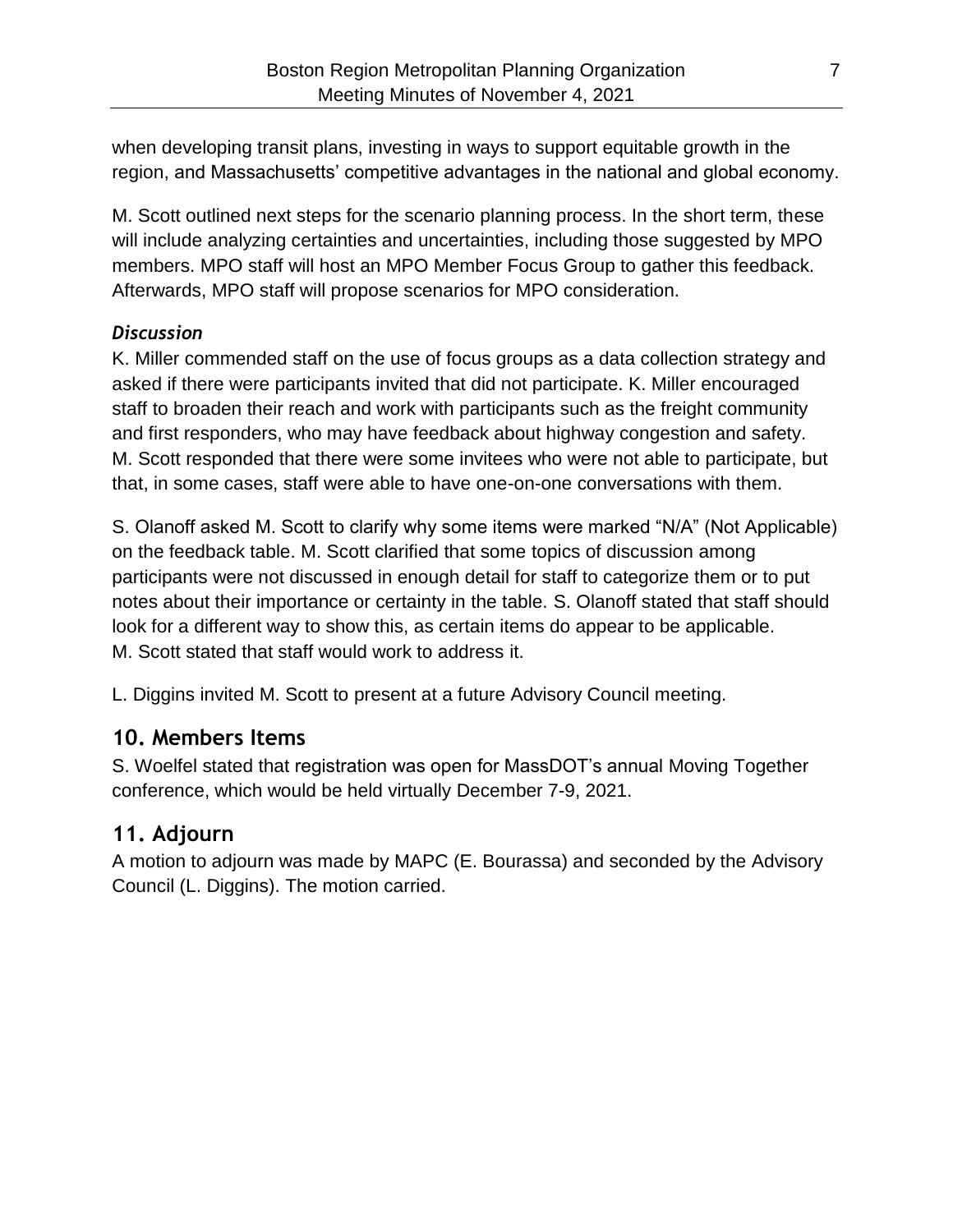when developing transit plans, investing in ways to support equitable growth in the region, and Massachusetts' competitive advantages in the national and global economy.

M. Scott outlined next steps for the scenario planning process. In the short term, these will include analyzing certainties and uncertainties, including those suggested by MPO members. MPO staff will host an MPO Member Focus Group to gather this feedback. Afterwards, MPO staff will propose scenarios for MPO consideration.

### *Discussion*

K. Miller commended staff on the use of focus groups as a data collection strategy and asked if there were participants invited that did not participate. K. Miller encouraged staff to broaden their reach and work with participants such as the freight community and first responders, who may have feedback about highway congestion and safety. M. Scott responded that there were some invitees who were not able to participate, but that, in some cases, staff were able to have one-on-one conversations with them.

S. Olanoff asked M. Scott to clarify why some items were marked "N/A" (Not Applicable) on the feedback table. M. Scott clarified that some topics of discussion among participants were not discussed in enough detail for staff to categorize them or to put notes about their importance or certainty in the table. S. Olanoff stated that staff should look for a different way to show this, as certain items do appear to be applicable. M. Scott stated that staff would work to address it.

L. Diggins invited M. Scott to present at a future Advisory Council meeting.

# **10. Members Items**

S. Woelfel stated that registration was open for MassDOT's annual Moving Together conference, which would be held virtually December 7-9, 2021.

### **11. Adjourn**

A motion to adjourn was made by MAPC (E. Bourassa) and seconded by the Advisory Council (L. Diggins). The motion carried.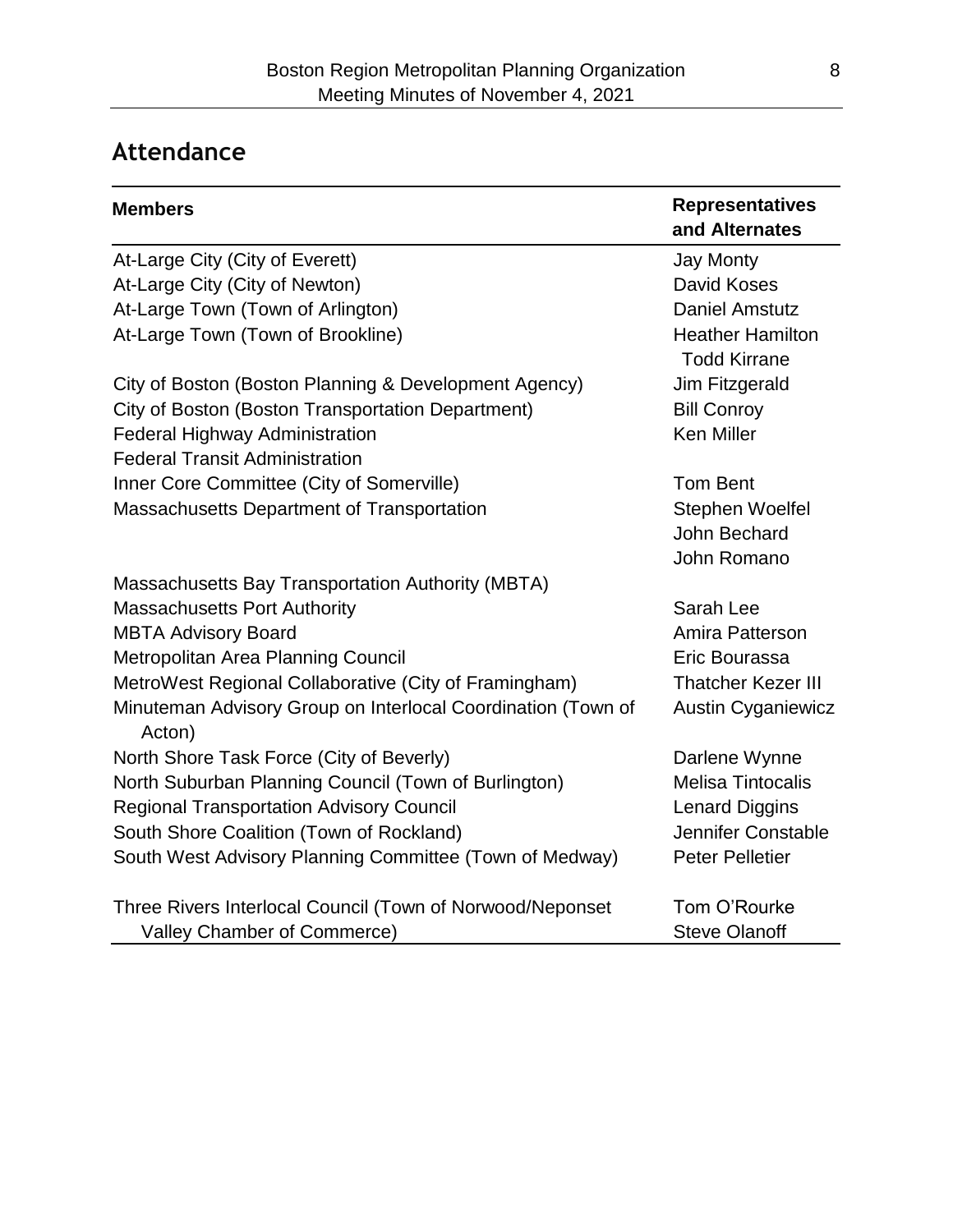# **Attendance**

| <b>Members</b>                                                         | <b>Representatives</b>                         |
|------------------------------------------------------------------------|------------------------------------------------|
|                                                                        | and Alternates                                 |
| At-Large City (City of Everett)                                        | <b>Jay Monty</b>                               |
| At-Large City (City of Newton)                                         | David Koses                                    |
| At-Large Town (Town of Arlington)                                      | <b>Daniel Amstutz</b>                          |
| At-Large Town (Town of Brookline)                                      | <b>Heather Hamilton</b><br><b>Todd Kirrane</b> |
| City of Boston (Boston Planning & Development Agency)                  | Jim Fitzgerald                                 |
| City of Boston (Boston Transportation Department)                      | <b>Bill Conroy</b>                             |
| Federal Highway Administration                                         | <b>Ken Miller</b>                              |
| <b>Federal Transit Administration</b>                                  |                                                |
| Inner Core Committee (City of Somerville)                              | <b>Tom Bent</b>                                |
| Massachusetts Department of Transportation                             | Stephen Woelfel                                |
|                                                                        | John Bechard                                   |
|                                                                        | John Romano                                    |
| <b>Massachusetts Bay Transportation Authority (MBTA)</b>               |                                                |
| <b>Massachusetts Port Authority</b>                                    | Sarah Lee                                      |
| <b>MBTA Advisory Board</b>                                             | Amira Patterson                                |
| Metropolitan Area Planning Council                                     | Eric Bourassa                                  |
| MetroWest Regional Collaborative (City of Framingham)                  | <b>Thatcher Kezer III</b>                      |
| Minuteman Advisory Group on Interlocal Coordination (Town of<br>Acton) | <b>Austin Cyganiewicz</b>                      |
| North Shore Task Force (City of Beverly)                               | Darlene Wynne                                  |
| North Suburban Planning Council (Town of Burlington)                   | <b>Melisa Tintocalis</b>                       |
| <b>Regional Transportation Advisory Council</b>                        | <b>Lenard Diggins</b>                          |
| South Shore Coalition (Town of Rockland)                               | Jennifer Constable                             |
| South West Advisory Planning Committee (Town of Medway)                | <b>Peter Pelletier</b>                         |
| Three Rivers Interlocal Council (Town of Norwood/Neponset              | Tom O'Rourke                                   |
| Valley Chamber of Commerce)                                            | <b>Steve Olanoff</b>                           |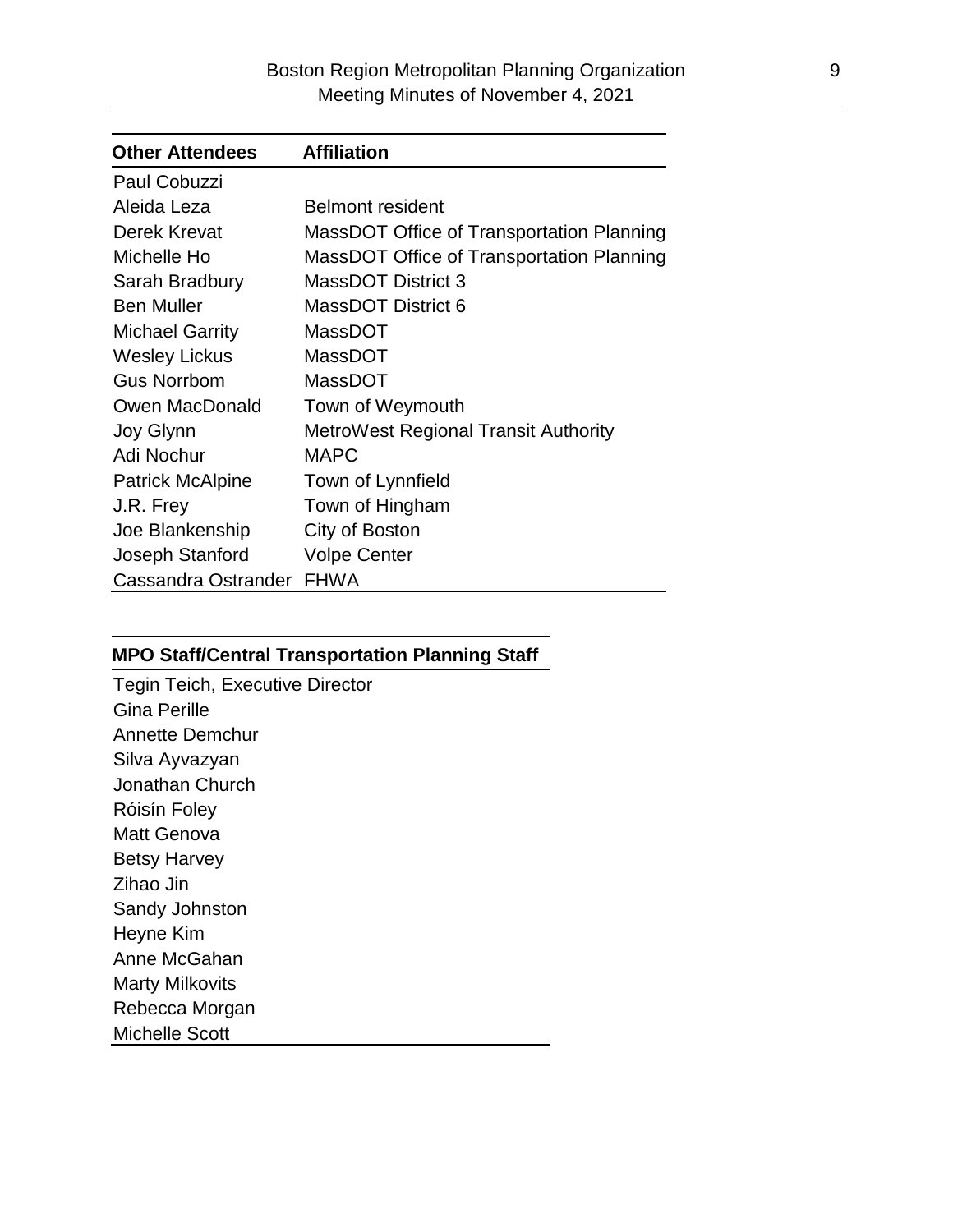| <b>Other Attendees</b>  | <b>Affiliation</b>                          |
|-------------------------|---------------------------------------------|
| Paul Cobuzzi            |                                             |
| Aleida Leza             | <b>Belmont resident</b>                     |
| Derek Krevat            | MassDOT Office of Transportation Planning   |
| Michelle Ho             | MassDOT Office of Transportation Planning   |
| Sarah Bradbury          | <b>MassDOT District 3</b>                   |
| <b>Ben Muller</b>       | MassDOT District 6                          |
| <b>Michael Garrity</b>  | <b>MassDOT</b>                              |
| <b>Wesley Lickus</b>    | MassDOT                                     |
| <b>Gus Norrbom</b>      | MassDOT                                     |
| Owen MacDonald          | Town of Weymouth                            |
| Joy Glynn               | <b>MetroWest Regional Transit Authority</b> |
| Adi Nochur              | <b>MAPC</b>                                 |
| <b>Patrick McAlpine</b> | Town of Lynnfield                           |
| J.R. Frey               | Town of Hingham                             |
| Joe Blankenship         | City of Boston                              |
| Joseph Stanford         | <b>Volpe Center</b>                         |
| Cassandra Ostrander     | <b>FHWA</b>                                 |

#### **MPO Staff/Central Transportation Planning Staff**

Tegin Teich, Executive Director Gina Perille Annette Demchur Silva Ayvazyan Jonathan Church Róisín Foley Matt Genova Betsy Harvey Zihao Jin Sandy Johnston Heyne Kim Anne McGahan Marty Milkovits Rebecca Morgan Michelle Scott